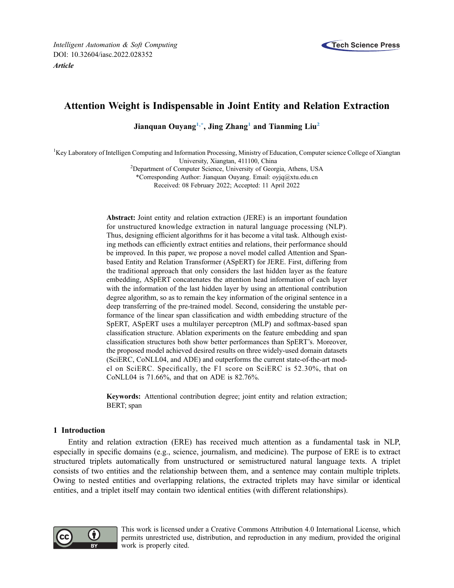

# Attention Weight is Indispensable in Joint Entity and Relation Extraction

Jianquan Ouyang<sup>1,[\\*](#page-0-1)</sup>, Jing Zhang<sup>1</sup> and Tianming Liu<sup>[2](#page-0-2)</sup>

<span id="page-0-2"></span><span id="page-0-1"></span><span id="page-0-0"></span><sup>1</sup>Key Laboratory of Intelligen Computing and Information Processing, Ministry of Education, Computer science College of Xiangtan University, Xiangtan, 411100, China <sup>2</sup>

<sup>2</sup>Department of Computer Science, University of Georgia, Athens, USA

\*Corresponding Author: Jianquan Ouyang. Email: [oyjq@xtu.edu.cn](mailto:oyjq@xtu.edu.cn)

Received: 08 February 2022; Accepted: 11 April 2022

Abstract: Joint entity and relation extraction (JERE) is an important foundation for unstructured knowledge extraction in natural language processing (NLP). Thus, designing efficient algorithms for it has become a vital task. Although existing methods can efficiently extract entities and relations, their performance should be improved. In this paper, we propose a novel model called Attention and Spanbased Entity and Relation Transformer (ASpERT) for JERE. First, differing from the traditional approach that only considers the last hidden layer as the feature embedding, ASpERT concatenates the attention head information of each layer with the information of the last hidden layer by using an attentional contribution degree algorithm, so as to remain the key information of the original sentence in a deep transferring of the pre-trained model. Second, considering the unstable performance of the linear span classification and width embedding structure of the SpERT, ASpERT uses a multilayer perceptron (MLP) and softmax-based span classification structure. Ablation experiments on the feature embedding and span classification structures both show better performances than SpERT's. Moreover, the proposed model achieved desired results on three widely-used domain datasets (SciERC, CoNLL04, and ADE) and outperforms the current state-of-the-art model on SciERC. Specifically, the F1 score on SciERC is 52.30%, that on CoNLL04 is 71.66%, and that on ADE is 82.76%.

Keywords: Attentional contribution degree; joint entity and relation extraction; BERT; span

# 1 Introduction

Entity and relation extraction (ERE) has received much attention as a fundamental task in NLP, especially in specific domains (e.g., science, journalism, and medicine). The purpose of ERE is to extract structured triplets automatically from unstructured or semistructured natural language texts. A triplet consists of two entities and the relationship between them, and a sentence may contain multiple triplets. Owing to nested entities and overlapping relations, the extracted triplets may have similar or identical entities, and a triplet itself may contain two identical entities (with different relationships).



This work is licensed under a Creative Commons Attribution 4.0 International License, which permits unrestricted use, distribution, and reproduction in any medium, provided the original work is properly cited.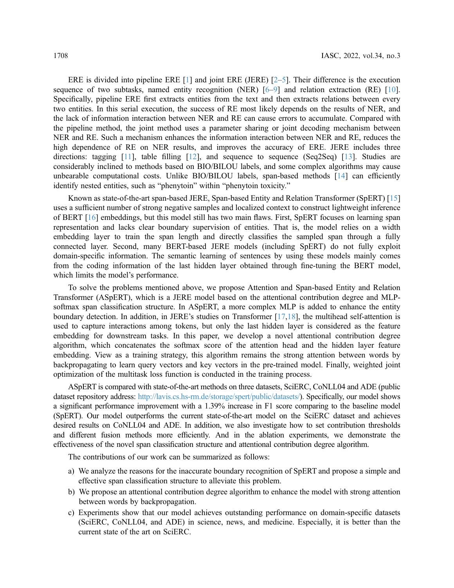ERE is divided into pipeline ERE [\[1\]](#page-13-0) and joint ERE (JERE) [\[2](#page-13-1)–[5\]](#page-13-2). Their difference is the execution sequence of two subtasks, named entity recognition (NER)  $[6-9]$  $[6-9]$  $[6-9]$  $[6-9]$  $[6-9]$  and relation extraction (RE)  $[10]$  $[10]$ . Specifically, pipeline ERE first extracts entities from the text and then extracts relations between every two entities. In this serial execution, the success of RE most likely depends on the results of NER, and the lack of information interaction between NER and RE can cause errors to accumulate. Compared with the pipeline method, the joint method uses a parameter sharing or joint decoding mechanism between NER and RE. Such a mechanism enhances the information interaction between NER and RE, reduces the high dependence of RE on NER results, and improves the accuracy of ERE. JERE includes three directions: tagging  $[11]$ , table filling  $[12]$  $[12]$  $[12]$ , and sequence to sequence (Seq2Seq)  $[13]$  $[13]$ . Studies are considerably inclined to methods based on BIO/BILOU labels, and some complex algorithms may cause unbearable computational costs. Unlike BIO/BILOU labels, span-based methods [[14\]](#page-14-3) can efficiently identify nested entities, such as "phenytoin" within "phenytoin toxicity."

Known as state-of-the-art span-based JERE, Span-based Entity and Relation Transformer (SpERT) [[15\]](#page-14-4) uses a sufficient number of strong negative samples and localized context to construct lightweight inference of BERT [\[16](#page-14-5)] embeddings, but this model still has two main flaws. First, SpERT focuses on learning span representation and lacks clear boundary supervision of entities. That is, the model relies on a width embedding layer to train the span length and directly classifies the sampled span through a fully connected layer. Second, many BERT-based JERE models (including SpERT) do not fully exploit domain-specific information. The semantic learning of sentences by using these models mainly comes from the coding information of the last hidden layer obtained through fine-tuning the BERT model, which limits the model's performance.

To solve the problems mentioned above, we propose Attention and Span-based Entity and Relation Transformer (ASpERT), which is a JERE model based on the attentional contribution degree and MLPsoftmax span classification structure. In ASpERT, a more complex MLP is added to enhance the entity boundary detection. In addition, in JERE's studies on Transformer [\[17](#page-14-6),[18\]](#page-14-7), the multihead self-attention is used to capture interactions among tokens, but only the last hidden layer is considered as the feature embedding for downstream tasks. In this paper, we develop a novel attentional contribution degree algorithm, which concatenates the softmax score of the attention head and the hidden layer feature embedding. View as a training strategy, this algorithm remains the strong attention between words by backpropagating to learn query vectors and key vectors in the pre-trained model. Finally, weighted joint optimization of the multitask loss function is conducted in the training process.

ASpERT is compared with state-of-the-art methods on three datasets, SciERC, CoNLL04 and ADE (public dataset repository address: <http://lavis.cs.hs-rm.de/storage/spert/public/datasets/>). Specifically, our model shows a significant performance improvement with a 1.39% increase in F1 score comparing to the baseline model (SpERT). Our model outperforms the current state-of-the-art model on the SciERC dataset and achieves desired results on CoNLL04 and ADE. In addition, we also investigate how to set contribution thresholds and different fusion methods more efficiently. And in the ablation experiments, we demonstrate the effectiveness of the novel span classification structure and attentional contribution degree algorithm.

The contributions of our work can be summarized as follows:

- a) We analyze the reasons for the inaccurate boundary recognition of SpERT and propose a simple and effective span classification structure to alleviate this problem.
- b) We propose an attentional contribution degree algorithm to enhance the model with strong attention between words by backpropagation.
- c) Experiments show that our model achieves outstanding performance on domain-specific datasets (SciERC, CoNLL04, and ADE) in science, news, and medicine. Especially, it is better than the current state of the art on SciERC.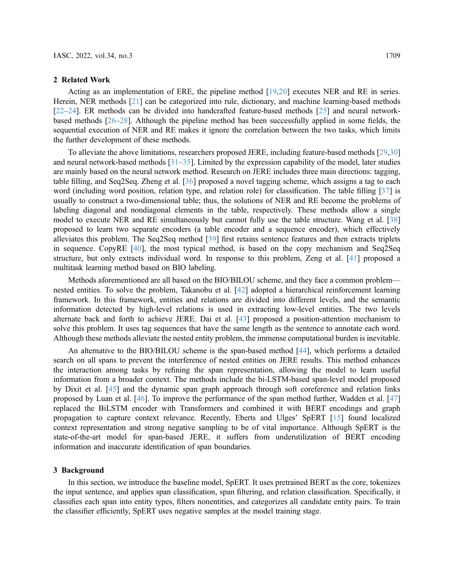#### 2 Related Work

Acting as an implementation of ERE, the pipeline method [[19,](#page-14-8)[20](#page-14-9)] executes NER and RE in series. Herein, NER methods [[21\]](#page-14-10) can be categorized into rule, dictionary, and machine learning-based methods [[22](#page-14-11)–[24\]](#page-14-12). ER methods can be divided into handcrafted feature-based methods [\[25](#page-14-13)] and neural networkbased methods [\[26](#page-14-14)–[28\]](#page-14-15). Although the pipeline method has been successfully applied in some fields, the sequential execution of NER and RE makes it ignore the correlation between the two tasks, which limits the further development of these methods.

To alleviate the above limitations, researchers proposed JERE, including feature-based methods [[29,](#page-14-16)[30\]](#page-14-17) and neural network-based methods  $[31–35]$  $[31–35]$  $[31–35]$  $[31–35]$ . Limited by the expression capability of the model, later studies are mainly based on the neural network method. Research on JERE includes three main directions: tagging, table filling, and Seq2Seq. Zheng et al. [[36\]](#page-15-2) proposed a novel tagging scheme, which assigns a tag to each word (including word position, relation type, and relation role) for classification. The table filling [[37\]](#page-15-3) is usually to construct a two-dimensional table; thus, the solutions of NER and RE become the problems of labeling diagonal and nondiagonal elements in the table, respectively. These methods allow a single model to execute NER and RE simultaneously but cannot fully use the table structure. Wang et al. [[38\]](#page-15-4) proposed to learn two separate encoders (a table encoder and a sequence encoder), which effectively alleviates this problem. The Seq2Seq method [[39\]](#page-15-5) first retains sentence features and then extracts triplets in sequence. CopyRE [[40\]](#page-15-6), the most typical method, is based on the copy mechanism and Seq2Seq structure, but only extracts individual word. In response to this problem, Zeng et al. [\[41](#page-15-7)] proposed a multitask learning method based on BIO labeling.

Methods aforementioned are all based on the BIO/BILOU scheme, and they face a common problem nested entities. To solve the problem, Takanobu et al. [[42\]](#page-15-8) adopted a hierarchical reinforcement learning framework. In this framework, entities and relations are divided into different levels, and the semantic information detected by high-level relations is used in extracting low-level entities. The two levels alternate back and forth to achieve JERE. Dai et al. [\[43](#page-15-9)] proposed a position-attention mechanism to solve this problem. It uses tag sequences that have the same length as the sentence to annotate each word. Although these methods alleviate the nested entity problem, the immense computational burden is inevitable.

An alternative to the BIO/BILOU scheme is the span-based method [[44\]](#page-15-10), which performs a detailed search on all spans to prevent the interference of nested entities on JERE results. This method enhances the interaction among tasks by refining the span representation, allowing the model to learn useful information from a broader context. The methods include the bi-LSTM-based span-level model proposed by Dixit et al. [\[45](#page-15-11)] and the dynamic span graph approach through soft coreference and relation links proposed by Luan et al. [\[46](#page-15-12)]. To improve the performance of the span method further, Wadden et al. [[47\]](#page-15-13) replaced the BiLSTM encoder with Transformers and combined it with BERT encodings and graph propagation to capture context relevance. Recently, Eberts and Ulges' SpERT [\[15\]](#page-14-4) found localized context representation and strong negative sampling to be of vital importance. Although SpERT is the state-of-the-art model for span-based JERE, it suffers from underutilization of BERT encoding information and inaccurate identification of span boundaries.

## 3 Background

In this section, we introduce the baseline model, SpERT. It uses pretrained BERT as the core, tokenizes the input sentence, and applies span classification, span filtering, and relation classification. Specifically, it classifies each span into entity types, filters nonentities, and categorizes all candidate entity pairs. To train the classifier efficiently, SpERT uses negative samples at the model training stage.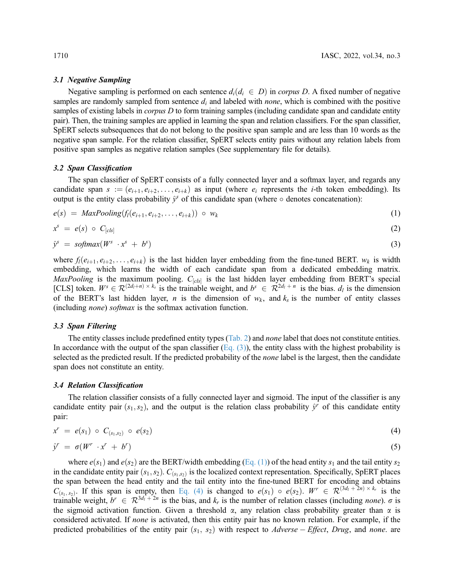## 3.1 Negative Sampling

Negative sampling is performed on each sentence  $d_i(d_i \in D)$  in *corpus D*. A fixed number of negative samples are randomly sampled from sentence  $d_i$  and labeled with *none*, which is combined with the positive samples of existing labels in *corpus D* to form training samples (including candidate span and candidate entity pair). Then, the training samples are applied in learning the span and relation classifiers. For the span classifier, SpERT selects subsequences that do not belong to the positive span sample and are less than 10 words as the negative span sample. For the relation classifier, SpERT selects entity pairs without any relation labels from positive span samples as negative relation samples (See supplementary file for details).

#### 3.2 Span Classification

<span id="page-3-1"></span>The span classifier of SpERT consists of a fully connected layer and a softmax layer, and regards any candidate span  $s := (e_{i+1}, e_{i+2}, \ldots, e_{i+k})$  as input (where  $e_i$  represents the *i*-th token embedding). Its output is the entity class probability  $\hat{y}^s$  of this candidate span (where  $\circ$  denotes concatenation):

<span id="page-3-3"></span>
$$
e(s) = MaxPooling(f_l(e_{i+1}, e_{i+2}, \ldots, e_{i+k})) \circ w_k \tag{1}
$$

<span id="page-3-0"></span>
$$
x^s = e(s) \circ C_{[cls]}
$$
 (2)

$$
\hat{\mathbf{y}}^s = \text{softmax}(W^s \cdot \mathbf{x}^s + b^s) \tag{3}
$$

where  $f_l(e_{i+1}, e_{i+2}, \ldots, e_{i+k})$  is the last hidden layer embedding from the fine-tuned BERT.  $w_k$  is width embedding, which learns the width of each candidate span from a dedicated embedding matrix. MaxPooling is the maximum pooling.  $C_{[cls]}$  is the last hidden layer embedding from BERT's special [CLS] token.  $W^s \in \mathcal{R}^{(2d_l+n) \times k_s}$  is the trainable weight, and  $b^s \in \mathcal{R}^{2d_l+n}$  is the bias.  $d_l$  is the dimension of the BERT's last hidden layer, n is the dimension of  $w_k$ , and  $k_s$  is the number of entity classes (including none) softmax is the softmax activation function.

### 3.3 Span Filtering

The entity classes include predefined entity types [\(Tab. 2\)](#page-8-0) and *none* label that does not constitute entities. In accordance with the output of the span classifier  $(Eq. (3))$  $(Eq. (3))$ , the entity class with the highest probability is selected as the predicted result. If the predicted probability of the none label is the largest, then the candidate span does not constitute an entity.

## 3.4 Relation Classification

<span id="page-3-2"></span>The relation classifier consists of a fully connected layer and sigmoid. The input of the classifier is any candidate entity pair  $(s_1, s_2)$ , and the output is the relation class probability  $\hat{y}^r$  of this candidate entity pair:

$$
x^r = e(s_1) \circ C_{(s_1,s_2)} \circ e(s_2) \tag{4}
$$

$$
\hat{y}^r = \sigma(W^r \cdot x^r + b^r) \tag{5}
$$

where  $e(s_1)$  and  $e(s_2)$  are the BERT/width embedding [\(Eq. \(1\)](#page-3-1)) of the head entity  $s_1$  and the tail entity  $s_2$ in the candidate entity pair  $(s_1, s_2)$ .  $C_{(s_1, s_2)}$  is the localized context representation. Specifically, SpERT places the span between the head entity and the tail entity into the fine-tuned BERT for encoding and obtains  $C_{(s_1, s_2)}$ . If this span is empty, then [Eq. \(4\)](#page-3-2) is changed to  $e(s_1) \circ e(s_2)$ .  $W^r \in \mathcal{R}^{(3d_1 + 2n) \times k_r}$  is the trainable weight,  $b^r \in \mathbb{R}^{3d_l + 2n}$  is the bias, and  $k_r$  is the number of relation classes (including *none*).  $\sigma$  is the sigmoid activation function. Given a threshold  $\alpha$ , any relation class probability greater than  $\alpha$  is considered activated. If none is activated, then this entity pair has no known relation. For example, if the predicted probabilities of the entity pair  $(s_1, s_2)$  with respect to Adverse – Effect, Drug, and none. are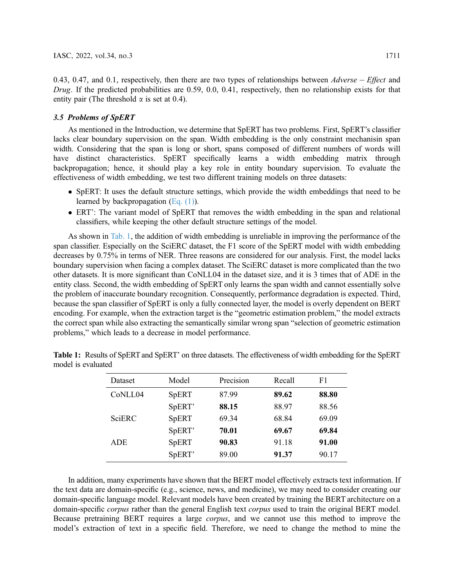0.43, 0.47, and 0.1, respectively, then there are two types of relationships between  $Adverse - Effect$  and Drug. If the predicted probabilities are 0.59, 0.0, 0.41, respectively, then no relationship exists for that entity pair (The threshold  $\alpha$  is set at 0.4).

## 3.5 Problems of SpERT

As mentioned in the Introduction, we determine that SpERT has two problems. First, SpERT's classifier lacks clear boundary supervision on the span. Width embedding is the only constraint mechanisin span width. Considering that the span is long or short, spans composed of different numbers of words will have distinct characteristics. SpERT specifically learns a width embedding matrix through backpropagation; hence, it should play a key role in entity boundary supervision. To evaluate the effectiveness of width embedding, we test two different training models on three datasets:

- SpERT: It uses the default structure settings, which provide the width embeddings that need to be learned by backpropagation [\(Eq. \(1\)](#page-3-1)).
- ERT': The variant model of SpERT that removes the width embedding in the span and relational classifiers, while keeping the other default structure settings of the model.

As shown in [Tab. 1](#page-4-0), the addition of width embedding is unreliable in improving the performance of the span classifier. Especially on the SciERC dataset, the F1 score of the SpERT model with width embedding decreases by 0.75% in terms of NER. Three reasons are considered for our analysis. First, the model lacks boundary supervision when facing a complex dataset. The SciERC dataset is more complicated than the two other datasets. It is more significant than CoNLL04 in the dataset size, and it is 3 times that of ADE in the entity class. Second, the width embedding of SpERT only learns the span width and cannot essentially solve the problem of inaccurate boundary recognition. Consequently, performance degradation is expected. Third, because the span classifier of SpERT is only a fully connected layer, the model is overly dependent on BERT encoding. For example, when the extraction target is the "geometric estimation problem," the model extracts the correct span while also extracting the semantically similar wrong span "selection of geometric estimation problems," which leads to a decrease in model performance.

| Dataset                          | Model        | Precision | Recall | F1    |
|----------------------------------|--------------|-----------|--------|-------|
| C <sub>o</sub> NLL <sub>04</sub> | <b>SpERT</b> | 87.99     | 89.62  | 88.80 |
|                                  | SpERT'       | 88.15     | 88.97  | 88.56 |
| <b>SciERC</b>                    | <b>SpERT</b> | 69.34     | 68.84  | 69.09 |
|                                  | SpERT'       | 70.01     | 69.67  | 69.84 |
| ADE.                             | <b>SpERT</b> | 90.83     | 91.18  | 91.00 |
|                                  | SpERT'       | 89.00     | 91.37  | 90.17 |

<span id="page-4-0"></span>Table 1: Results of SpERT and SpERT' on three datasets. The effectiveness of width embedding for the SpERT model is evaluated

In addition, many experiments have shown that the BERT model effectively extracts text information. If the text data are domain-specific (e.g., science, news, and medicine), we may need to consider creating our domain-specific language model. Relevant models have been created by training the BERT architecture on a domain-specific *corpus* rather than the general English text *corpus* used to train the original BERT model. Because pretraining BERT requires a large corpus, and we cannot use this method to improve the model's extraction of text in a specific field. Therefore, we need to change the method to mine the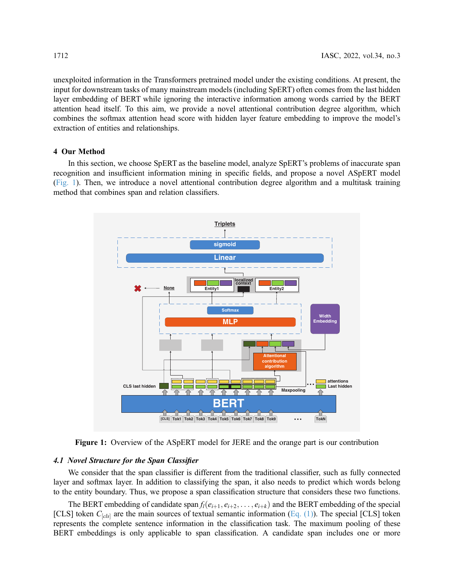unexploited information in the Transformers pretrained model under the existing conditions. At present, the input for downstream tasks of many mainstream models (including SpERT) often comes from the last hidden layer embedding of BERT while ignoring the interactive information among words carried by the BERT attention head itself. To this aim, we provide a novel attentional contribution degree algorithm, which combines the softmax attention head score with hidden layer feature embedding to improve the model's extraction of entities and relationships.

# 4 Our Method

In this section, we choose SpERT as the baseline model, analyze SpERT's problems of inaccurate span recognition and insufficient information mining in specific fields, and propose a novel ASpERT model ([Fig. 1\)](#page-5-0). Then, we introduce a novel attentional contribution degree algorithm and a multitask training method that combines span and relation classifiers.

<span id="page-5-0"></span>

Figure 1: Overview of the ASpERT model for JERE and the orange part is our contribution

## 4.1 Novel Structure for the Span Classifier

We consider that the span classifier is different from the traditional classifier, such as fully connected layer and softmax layer. In addition to classifying the span, it also needs to predict which words belong to the entity boundary. Thus, we propose a span classification structure that considers these two functions.

The BERT embedding of candidate span  $f_l(e_{i+1}, e_{i+2}, \ldots, e_{i+k})$  and the BERT embedding of the special [CLS] token  $C_{[cls]}$  are the main sources of textual semantic information ([Eq. \(1\)\)](#page-3-1). The special [CLS] token represents the complete sentence information in the classification task. The maximum pooling of these BERT embeddings is only applicable to span classification. A candidate span includes one or more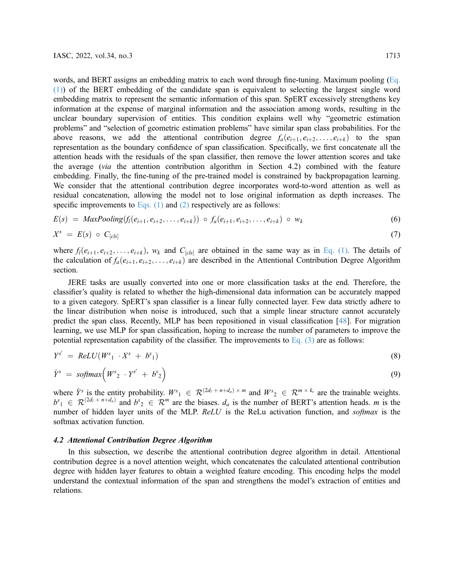words, and BERT assigns an embedding matrix to each word through fine-tuning. Maximum pooling [\(Eq.](#page-3-1) [\(1\)\)](#page-3-1) of the BERT embedding of the candidate span is equivalent to selecting the largest single word embedding matrix to represent the semantic information of this span. SpERT excessively strengthens key information at the expense of marginal information and the association among words, resulting in the unclear boundary supervision of entities. This condition explains well why "geometric estimation problems" and "selection of geometric estimation problems" have similar span class probabilities. For the above reasons, we add the attentional contribution degree  $f_a(e_{i+1}, e_{i+2}, \ldots, e_{i+k})$  to the span representation as the boundary confidence of span classification. Specifically, we first concatenate all the attention heads with the residuals of the span classifier, then remove the lower attention scores and take the average (via the attention contribution algorithm in Section 4.2) combined with the feature embedding. Finally, the fine-tuning of the pre-trained model is constrained by backpropagation learning. We consider that the attentional contribution degree incorporates word-to-word attention as well as residual concatenation, allowing the model not to lose original information as depth increases. The specific improvements to Eqs.  $(1)$  and  $(2)$  respectively are as follows:

$$
E(s) = MaxPooling(f_i(e_{i+1}, e_{i+2}, \ldots, e_{i+k})) \circ f_a(e_{i+1}, e_{i+2}, \ldots, e_{i+k}) \circ w_k
$$
 (6)

$$
X^s = E(s) \circ C_{[cls]} \tag{7}
$$

where  $f_l(e_{i+1}, e_{i+2}, \ldots, e_{i+k})$ , w<sub>k</sub> and  $C_{[cls]}$  are obtained in the same way as in [Eq. \(1\).](#page-3-1) The details of the calculation of  $f_a(e_{i+1}, e_{i+2}, \ldots, e_{i+k})$  are described in the Attentional Contribution Degree Algorithm section.

JERE tasks are usually converted into one or more classification tasks at the end. Therefore, the classifier's quality is related to whether the high-dimensional data information can be accurately mapped to a given category. SpERT's span classifier is a linear fully connected layer. Few data strictly adhere to the linear distribution when noise is introduced, such that a simple linear structure cannot accurately predict the span class. Recently, MLP has been repositioned in visual classification [\[48](#page-15-14)]. For migration learning, we use MLP for span classification, hoping to increase the number of parameters to improve the potential representation capability of the classifier. The improvements to Eq.  $(3)$  are as follows:

$$
Y^{s'} = ReLU(W^{s_1} \cdot X^s + b^s_1) \tag{8}
$$

$$
\hat{Y}^s = \text{softmax}\Big(W^s{}_2 \cdot Y^{s'} + b^s{}_2\Big) \tag{9}
$$

where  $\hat{Y}^s$  is the entity probability.  $W^s{}_1 \in \mathcal{R}^{(2d_l + n + d_a) \times m}$  and  $W^s{}_2 \in \mathcal{R}^{m \times k_s}$  are the trainable weights.  $b^{s_1} \in \mathcal{R}^{(2d_1 + n + d_a)}$  and  $b^{s_2} \in \mathcal{R}^m$  are the biases.  $d_a$  is the number of BERT's attention heads. m is the number of hidden layer units of the MLP. ReLU is the ReLu activation function, and softmax is the softmax activation function.

## 4.2 Attentional Contribution Degree Algorithm

In this subsection, we describe the attentional contribution degree algorithm in detail. Attentional contribution degree is a novel attention weight, which concatenates the calculated attentional contribution degree with hidden layer features to obtain a weighted feature encoding. This encoding helps the model understand the contextual information of the span and strengthens the model's extraction of entities and relations.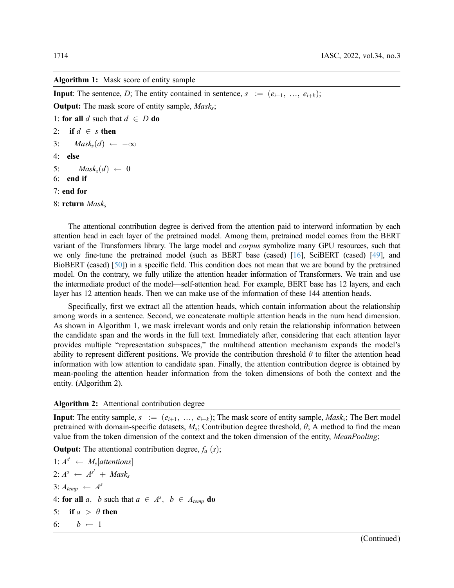## Algorithm 1: Mask score of entity sample

**Input:** The sentence, D; The entity contained in sentence,  $s := (e_{i+1}, \ldots, e_{i+k});$ **Output:** The mask score of entity sample,  $Mask_s$ ; 1: for all d such that  $d \in D$  do

2: if  $d \in s$  then

3:  $Mask_s(d) \leftarrow -\infty$ 

4: else

5:  $Mask_s(d) \leftarrow 0$ 6: end if

7: end for

8: return  $Mask_s$ 

The attentional contribution degree is derived from the attention paid to interword information by each attention head in each layer of the pretrained model. Among them, pretrained model comes from the BERT variant of the Transformers library. The large model and corpus symbolize many GPU resources, such that we only fine-tune the pretrained model (such as BERT base (cased) [\[16\]](#page-14-5), SciBERT (cased) [\[49\]](#page-15-15), and BioBERT (cased) [\[50\]](#page-16-0)) in a specific field. This condition does not mean that we are bound by the pretrained model. On the contrary, we fully utilize the attention header information of Transformers. We train and use the intermediate product of the model—self-attention head. For example, BERT base has 12 layers, and each layer has 12 attention heads. Then we can make use of the information of these 144 attention heads.

Specifically, first we extract all the attention heads, which contain information about the relationship among words in a sentence. Second, we concatenate multiple attention heads in the num head dimension. As shown in Algorithm 1, we mask irrelevant words and only retain the relationship information between the candidate span and the words in the full text. Immediately after, considering that each attention layer provides multiple "representation subspaces," the multihead attention mechanism expands the model's ability to represent different positions. We provide the contribution threshold  $\theta$  to filter the attention head information with low attention to candidate span. Finally, the attention contribution degree is obtained by mean-pooling the attention header information from the token dimensions of both the context and the entity. (Algorithm 2).

## Algorithm 2: Attentional contribution degree

**Input:** The entity sample,  $s := (e_{i+1}, ..., e_{i+k})$ ; The mask score of entity sample, *Mask<sub>s</sub>*; The Bert model pretrained with domain-specific datasets,  $M_s$ ; Contribution degree threshold,  $\theta$ ; A method to find the mean value from the token dimension of the context and the token dimension of the entity, MeanPooling;

**Output:** The attentional contribution degree,  $f_a$   $(s)$ ;

1:  $A^{s'} \leftarrow M_s[attentions]$  $2: A^s \leftarrow A^{s'} + \textit{Mask}_s$  $3: A_{temp} \leftarrow A^s$ 4: for all a, b such that  $a \in A^s$ ,  $b \in A_{temp}$  do 5: if  $a > \theta$  then 6:  $b \leftarrow 1$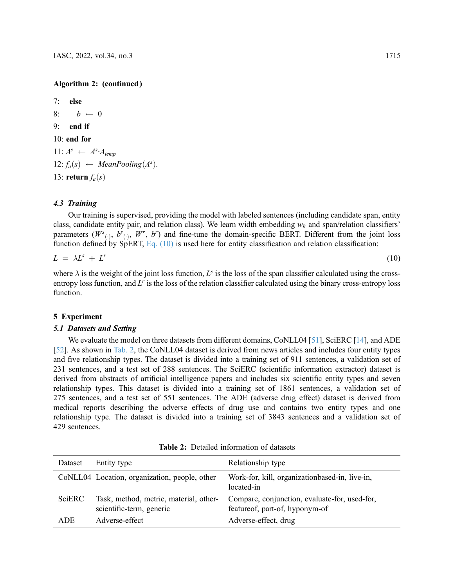7: else 8:  $b \leftarrow 0$ 9: end if 10: end for 11:  $A^s \leftarrow A^s \cdot A_{temp}$ 12:  $f_a(s) \leftarrow \text{MeanPooling}(A^s)$ . 13: return  $f_a(s)$ 

## 4.3 Training

Our training is supervised, providing the model with labeled sentences (including candidate span, entity class, candidate entity pair, and relation class). We learn width embedding  $w_k$  and span/relation classifiers' parameters  $(W^{s}(\cdot), b^{s}(\cdot), W^{r}, b^{r})$  and fine-tune the domain-specific BERT. Different from the joint loss function defined by SpERT, [Eq. \(10\)](#page-8-1) is used here for entity classification and relation classification:

<span id="page-8-1"></span>
$$
L = \lambda L^s + L^r \tag{10}
$$

where  $\lambda$  is the weight of the joint loss function,  $L^s$  is the loss of the span classifier calculated using the crossentropy loss function, and  $L<sup>r</sup>$  is the loss of the relation classifier calculated using the binary cross-entropy loss function.

## 5 Experiment

## 5.1 Datasets and Setting

We evaluate the model on three datasets from different domains, CoNLL04 [[51\]](#page-16-1), SciERC [\[14](#page-14-3)], and ADE [[52](#page-16-2)]. As shown in [Tab. 2,](#page-8-0) the CoNLL04 dataset is derived from news articles and includes four entity types and five relationship types. The dataset is divided into a training set of 911 sentences, a validation set of 231 sentences, and a test set of 288 sentences. The SciERC (scientific information extractor) dataset is derived from abstracts of artificial intelligence papers and includes six scientific entity types and seven relationship types. This dataset is divided into a training set of 1861 sentences, a validation set of 275 sentences, and a test set of 551 sentences. The ADE (adverse drug effect) dataset is derived from medical reports describing the adverse effects of drug use and contains two entity types and one relationship type. The dataset is divided into a training set of 3843 sentences and a validation set of 429 sentences.

<span id="page-8-0"></span>

| Dataset | Entity type                                                        | Relationship type                                                               |
|---------|--------------------------------------------------------------------|---------------------------------------------------------------------------------|
|         | CoNLL04 Location, organization, people, other                      | Work-for, kill, organizationbased-in, live-in,<br>located-in                    |
| SciERC  | Task, method, metric, material, other-<br>scientific-term, generic | Compare, conjunction, evaluate-for, used-for,<br>featureof, part-of, hyponym-of |
| ADE.    | Adverse-effect                                                     | Adverse-effect, drug                                                            |

Table 2: Detailed information of datasets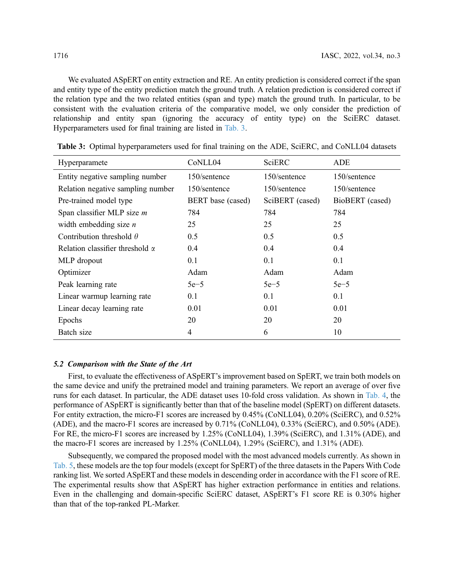We evaluated ASpERT on entity extraction and RE. An entity prediction is considered correct if the span

and entity type of the entity prediction match the ground truth. A relation prediction is considered correct if the relation type and the two related entities (span and type) match the ground truth. In particular, to be consistent with the evaluation criteria of the comparative model, we only consider the prediction of relationship and entity span (ignoring the accuracy of entity type) on the SciERC dataset. Hyperparameters used for final training are listed in [Tab. 3.](#page-9-0)

| Hyperparamete                          | CoNLL04                  | SciERC          | ADE             |
|----------------------------------------|--------------------------|-----------------|-----------------|
| Entity negative sampling number        | 150/sentence             | 150/sentence    | 150/sentence    |
| Relation negative sampling number      | 150/sentence             | 150/sentence    | 150/sentence    |
| Pre-trained model type                 | <b>BERT</b> base (cased) | SciBERT (cased) | BioBERT (cased) |
| Span classifier MLP size $m$           | 784                      | 784             | 784             |
| width embedding size $n$               | 25                       | 25              | 25              |
| Contribution threshold $\theta$        | 0.5                      | 0.5             | 0.5             |
| Relation classifier threshold $\alpha$ | 0.4                      | 0.4             | 0.4             |
| MLP dropout                            | 0.1                      | 0.1             | 0.1             |
| Optimizer                              | Adam                     | Adam            | Adam            |
| Peak learning rate                     | $5e-5$                   | $5e-5$          | $5e-5$          |
| Linear warmup learning rate            | 0.1                      | 0.1             | 0.1             |
| Linear decay learning rate             | 0.01                     | 0.01            | 0.01            |
| Epochs                                 | 20                       | 20              | 20              |
| Batch size                             | 4                        | 6               | 10              |

<span id="page-9-0"></span>Table 3: Optimal hyperparameters used for final training on the ADE, SciERC, and CoNLL04 datasets

# 5.2 Comparison with the State of the Art

First, to evaluate the effectiveness of ASpERT's improvement based on SpERT, we train both models on the same device and unify the pretrained model and training parameters. We report an average of over five runs for each dataset. In particular, the ADE dataset uses 10-fold cross validation. As shown in [Tab. 4,](#page-10-0) the performance of ASpERT is significantly better than that of the baseline model (SpERT) on different datasets. For entity extraction, the micro-F1 scores are increased by 0.45% (CoNLL04), 0.20% (SciERC), and 0.52% (ADE), and the macro-F1 scores are increased by 0.71% (CoNLL04), 0.33% (SciERC), and 0.50% (ADE). For RE, the micro-F1 scores are increased by 1.25% (CoNLL04), 1.39% (SciERC), and 1.31% (ADE), and the macro-F1 scores are increased by 1.25% (CoNLL04), 1.29% (SciERC), and 1.31% (ADE).

Subsequently, we compared the proposed model with the most advanced models currently. As shown in [Tab. 5,](#page-10-1) these models are the top four models (except for SpERT) of the three datasets in the Papers With Code ranking list. We sorted ASpERT and these models in descending order in accordance with the F1 score of RE. The experimental results show that ASpERT has higher extraction performance in entities and relations. Even in the challenging and domain-specific SciERC dataset, ASpERT's F1 score RE is 0.30% higher than that of the top-ranked PL-Marker.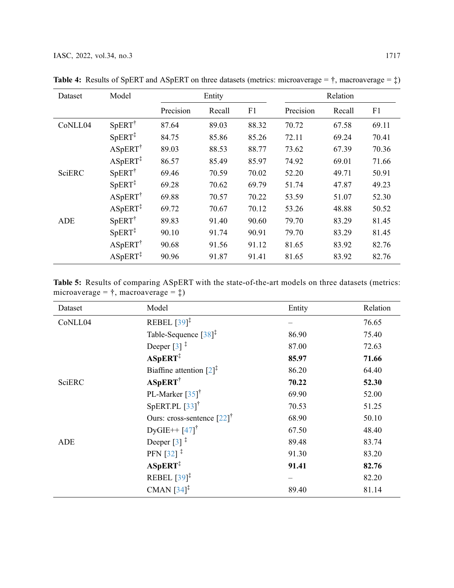| Dataset       | Model               | Relation<br>Entity |        |       |           |        |       |
|---------------|---------------------|--------------------|--------|-------|-----------|--------|-------|
|               |                     | Precision          | Recall | F1    | Precision | Recall | F1    |
| CoNLL04       | $SpERT^{\dagger}$   | 87.64              | 89.03  | 88.32 | 70.72     | 67.58  | 69.11 |
|               | $SpERT^{\ddagger}$  | 84.75              | 85.86  | 85.26 | 72.11     | 69.24  | 70.41 |
|               | $ASpERT^{\dagger}$  | 89.03              | 88.53  | 88.77 | 73.62     | 67.39  | 70.36 |
|               | $ASpERT^{\ddagger}$ | 86.57              | 85.49  | 85.97 | 74.92     | 69.01  | 71.66 |
| <b>SciERC</b> | $SpERT^{\dagger}$   | 69.46              | 70.59  | 70.02 | 52.20     | 49.71  | 50.91 |
|               | $SpERT^{\ddagger}$  | 69.28              | 70.62  | 69.79 | 51.74     | 47.87  | 49.23 |
|               | $ASpERT^{\dagger}$  | 69.88              | 70.57  | 70.22 | 53.59     | 51.07  | 52.30 |
|               | $ASpERT^{\ddagger}$ | 69.72              | 70.67  | 70.12 | 53.26     | 48.88  | 50.52 |
| ADE           | $SpERT^{\dagger}$   | 89.83              | 91.40  | 90.60 | 79.70     | 83.29  | 81.45 |
|               | $SpERT^{\ddagger}$  | 90.10              | 91.74  | 90.91 | 79.70     | 83.29  | 81.45 |
|               | $ASpERT^{\dagger}$  | 90.68              | 91.56  | 91.12 | 81.65     | 83.92  | 82.76 |
|               | $ASpERT^{\ddagger}$ | 90.96              | 91.87  | 91.41 | 81.65     | 83.92  | 82.76 |

<span id="page-10-0"></span>**Table 4:** Results of SpERT and ASpERT on three datasets (metrics: microaverage =  $\dagger$ , macroaverage =  $\dagger$ )

<span id="page-10-1"></span>Table 5: Results of comparing ASpERT with the state-of-the-art models on three datasets (metrics: microaverage =  $\dagger$ , macroaverage =  $\dagger$ )

| Dataset       | Model                                                     | Entity | Relation |
|---------------|-----------------------------------------------------------|--------|----------|
| CoNLL04       | REBEL $[39]$ <sup><math>\ddagger</math></sup>             |        | 76.65    |
|               | Table-Sequence $[38]$ <sup><math>\ddag</math></sup>       | 86.90  | 75.40    |
|               | Deeper $\lceil 3 \rceil$ <sup>‡</sup>                     | 87.00  | 72.63    |
|               | $ASpERT^{\ddagger}$                                       | 85.97  | 71.66    |
|               | Biaffine attention $[2]$ <sup><math>\ddagger</math></sup> | 86.20  | 64.40    |
| <b>SciERC</b> | <b>ASpERT</b> <sup>†</sup>                                | 70.22  | 52.30    |
|               | PL-Marker $\left[35\right]$ <sup>†</sup>                  | 69.90  | 52.00    |
|               | SpERT.PL $[33]$ <sup>†</sup>                              | 70.53  | 51.25    |
|               | Ours: cross-sentence $\left[22\right]^\dagger$            | 68.90  | 50.10    |
|               | $DyGIE++[47]$ <sup>†</sup>                                | 67.50  | 48.40    |
| <b>ADE</b>    | Deeper $\lceil 3 \rceil$ <sup>‡</sup>                     | 89.48  | 83.74    |
|               | PFN $[32]$ <sup>‡</sup>                                   | 91.30  | 83.20    |
|               | $ASpERT^{\ddagger}$                                       | 91.41  | 82.76    |
|               | REBEL $[39]$ <sup><math>\ddag</math></sup>                |        | 82.20    |
|               | CMAN $[34]$ <sup><math>\ddagger</math></sup>              | 89.40  | 81.14    |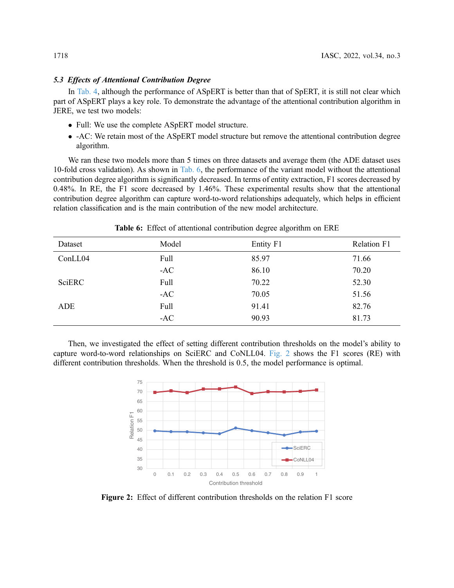## 5.3 Effects of Attentional Contribution Degree

In [Tab. 4,](#page-10-0) although the performance of ASpERT is better than that of SpERT, it is still not clear which part of ASpERT plays a key role. To demonstrate the advantage of the attentional contribution algorithm in JERE, we test two models:

- Full: We use the complete ASpERT model structure.
- -AC: We retain most of the ASpERT model structure but remove the attentional contribution degree algorithm.

We ran these two models more than 5 times on three datasets and average them (the ADE dataset uses 10-fold cross validation). As shown in [Tab. 6,](#page-11-0) the performance of the variant model without the attentional contribution degree algorithm is significantly decreased. In terms of entity extraction, F1 scores decreased by 0.48%. In RE, the F1 score decreased by 1.46%. These experimental results show that the attentional contribution degree algorithm can capture word-to-word relationships adequately, which helps in efficient relation classification and is the main contribution of the new model architecture.

<span id="page-11-0"></span>

| Dataset | Model | Entity F1 | Relation F1 |
|---------|-------|-----------|-------------|
| ConLL04 | Full  | 85.97     | 71.66       |
|         | $-AC$ | 86.10     | 70.20       |
| SciERC  | Full  | 70.22     | 52.30       |
|         | $-AC$ | 70.05     | 51.56       |
| ADE     | Full  | 91.41     | 82.76       |
|         | $-AC$ | 90.93     | 81.73       |

Table 6: Effect of attentional contribution degree algorithm on ERE

<span id="page-11-1"></span>Then, we investigated the effect of setting different contribution thresholds on the model's ability to capture word-to-word relationships on SciERC and CoNLL04. [Fig. 2](#page-11-1) shows the F1 scores (RE) with different contribution thresholds. When the threshold is 0.5, the model performance is optimal.



Figure 2: Effect of different contribution thresholds on the relation F1 score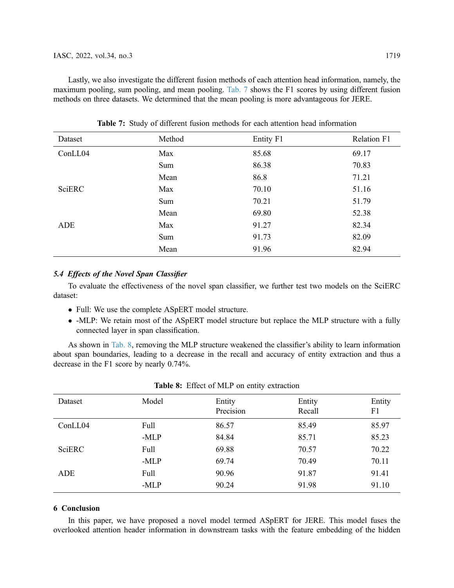Lastly, we also investigate the different fusion methods of each attention head information, namely, the maximum pooling, sum pooling, and mean pooling. [Tab. 7](#page-12-0) shows the F1 scores by using different fusion methods on three datasets. We determined that the mean pooling is more advantageous for JERE.

<span id="page-12-0"></span>

| Dataset | Method | Entity F1 | Relation F1 |
|---------|--------|-----------|-------------|
| ConLL04 | Max    | 85.68     | 69.17       |
|         | Sum    | 86.38     | 70.83       |
|         | Mean   | 86.8      | 71.21       |
| SciERC  | Max    | 70.10     | 51.16       |
|         | Sum    | 70.21     | 51.79       |
|         | Mean   | 69.80     | 52.38       |
| ADE     | Max    | 91.27     | 82.34       |
|         | Sum    | 91.73     | 82.09       |
|         | Mean   | 91.96     | 82.94       |

Table 7: Study of different fusion methods for each attention head information

# 5.4 Effects of the Novel Span Classifier

To evaluate the effectiveness of the novel span classifier, we further test two models on the SciERC dataset:

- Full: We use the complete ASpERT model structure.
- -MLP: We retain most of the ASpERT model structure but replace the MLP structure with a fully connected layer in span classification.

As shown in [Tab. 8,](#page-12-1) removing the MLP structure weakened the classifier's ability to learn information about span boundaries, leading to a decrease in the recall and accuracy of entity extraction and thus a decrease in the F1 score by nearly 0.74%.

<span id="page-12-1"></span>

| Dataset       | Model  | Entity<br>Precision | Entity<br>Recall | Entity<br>F1 |
|---------------|--------|---------------------|------------------|--------------|
| ConLL04       | Full   | 86.57               | 85.49            | 85.97        |
|               | $-MLP$ | 84.84               | 85.71            | 85.23        |
| <b>SciERC</b> | Full   | 69.88               | 70.57            | 70.22        |
|               | $-MLP$ | 69.74               | 70.49            | 70.11        |
| ADE           | Full   | 90.96               | 91.87            | 91.41        |
|               | -MLP   | 90.24               | 91.98            | 91.10        |

|  |  |  |  |  | Table 8: Effect of MLP on entity extraction |
|--|--|--|--|--|---------------------------------------------|
|--|--|--|--|--|---------------------------------------------|

# 6 Conclusion

In this paper, we have proposed a novel model termed ASpERT for JERE. This model fuses the overlooked attention header information in downstream tasks with the feature embedding of the hidden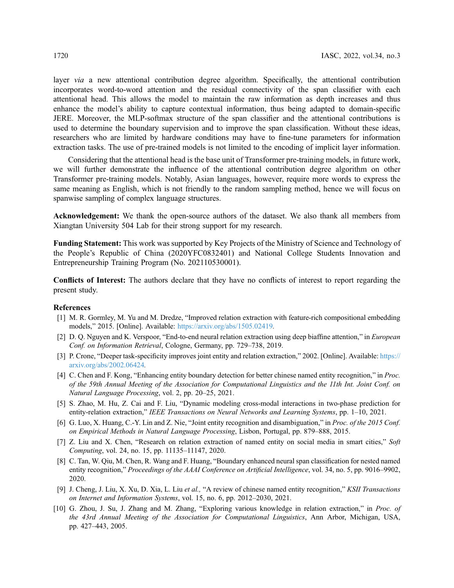layer via a new attentional contribution degree algorithm. Specifically, the attentional contribution incorporates word-to-word attention and the residual connectivity of the span classifier with each attentional head. This allows the model to maintain the raw information as depth increases and thus enhance the model's ability to capture contextual information, thus being adapted to domain-specific JERE. Moreover, the MLP-softmax structure of the span classifier and the attentional contributions is used to determine the boundary supervision and to improve the span classification. Without these ideas, researchers who are limited by hardware conditions may have to fine-tune parameters for information extraction tasks. The use of pre-trained models is not limited to the encoding of implicit layer information.

Considering that the attentional head is the base unit of Transformer pre-training models, in future work, we will further demonstrate the influence of the attentional contribution degree algorithm on other Transformer pre-training models. Notably, Asian languages, however, require more words to express the same meaning as English, which is not friendly to the random sampling method, hence we will focus on spanwise sampling of complex language structures.

Acknowledgement: We thank the open-source authors of the dataset. We also thank all members from Xiangtan University 504 Lab for their strong support for my research.

Funding Statement: This work was supported by Key Projects of the Ministry of Science and Technology of the People's Republic of China (2020YFC0832401) and National College Students Innovation and Entrepreneurship Training Program (No. 202110530001).

Conflicts of Interest: The authors declare that they have no conflicts of interest to report regarding the present study.

## References

- <span id="page-13-0"></span>[1] M. R. Gormley, M. Yu and M. Dredze, "Improved relation extraction with feature-rich compositional embedding models," 2015. [Online]. Available: <https://arxiv.org/abs/1505.02419>.
- <span id="page-13-1"></span>[2] D. Q. Nguyen and K. Verspoor, "End-to-end neural relation extraction using deep biaffine attention," in *European* Conf. on Information Retrieval, Cologne, Germany, pp. 729–738, 2019.
- <span id="page-13-6"></span>[3] P. Crone, "Deeper task-specificity improves joint entity and relation extraction," 2002. [Online]. Available: [https://](https://arxiv.org/abs/2002.06424) [arxiv.org/abs/2002.06424](https://arxiv.org/abs/2002.06424).
- [4] C. Chen and F. Kong, "Enhancing entity boundary detection for better chinese named entity recognition," in *Proc.* of the 59th Annual Meeting of the Association for Computational Linguistics and the 11th Int. Joint Conf. on Natural Language Processing, vol. 2, pp. 20–25, 2021.
- <span id="page-13-2"></span>[5] S. Zhao, M. Hu, Z. Cai and F. Liu, "Dynamic modeling cross-modal interactions in two-phase prediction for entity-relation extraction," IEEE Transactions on Neural Networks and Learning Systems, pp. 1-10, 2021.
- <span id="page-13-3"></span>[6] G. Luo, X. Huang, C.-Y. Lin and Z. Nie, "Joint entity recognition and disambiguation," in *Proc. of the 2015 Conf.* on Empirical Methods in Natural Language Processing, Lisbon, Portugal, pp. 879–888, 2015.
- [7] Z. Liu and X. Chen, "Research on relation extraction of named entity on social media in smart cities," Soft Computing, vol. 24, no. 15, pp. 11135–11147, 2020.
- [8] C. Tan, W. Qiu, M. Chen, R. Wang and F. Huang, "Boundary enhanced neural span classification for nested named entity recognition," Proceedings of the AAAI Conference on Artificial Intelligence, vol. 34, no. 5, pp. 9016–9902, 2020.
- <span id="page-13-4"></span>[9] J. Cheng, J. Liu, X. Xu, D. Xia, L. Liu et al., "A review of chinese named entity recognition," KSII Transactions on Internet and Information Systems, vol. 15, no. 6, pp. 2012–2030, 2021.
- <span id="page-13-5"></span>[10] G. Zhou, J. Su, J. Zhang and M. Zhang, "Exploring various knowledge in relation extraction," in Proc. of the 43rd Annual Meeting of the Association for Computational Linguistics, Ann Arbor, Michigan, USA, pp. 427–443, 2005.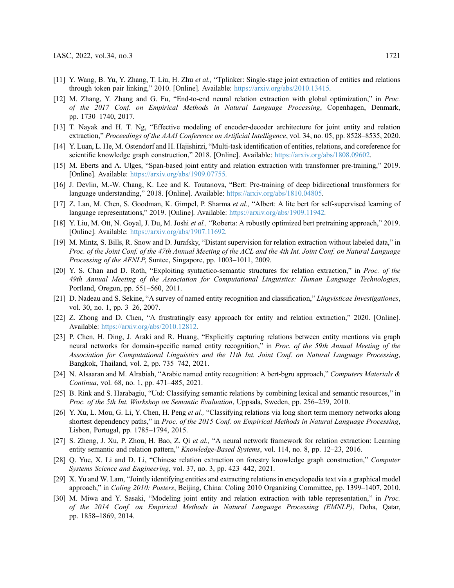- <span id="page-14-0"></span>[11] Y. Wang, B. Yu, Y. Zhang, T. Liu, H. Zhu et al., "Tplinker: Single-stage joint extraction of entities and relations through token pair linking," 2010. [Online]. Available: <https://arxiv.org/abs/2010.13415>.
- <span id="page-14-1"></span>[12] M. Zhang, Y. Zhang and G. Fu, "End-to-end neural relation extraction with global optimization," in Proc. of the 2017 Conf. on Empirical Methods in Natural Language Processing, Copenhagen, Denmark, pp. 1730–1740, 2017.
- <span id="page-14-2"></span>[13] T. Nayak and H. T. Ng, "Effective modeling of encoder-decoder architecture for joint entity and relation extraction," Proceedings of the AAAI Conference on Artificial Intelligence, vol. 34, no. 05, pp. 8528–8535, 2020.
- <span id="page-14-3"></span>[14] Y. Luan, L. He, M. Ostendorf and H. Hajishirzi, "Multi-task identification of entities, relations, and coreference for scientific knowledge graph construction," 2018. [Online]. Available: <https://arxiv.org/abs/1808.09602>.
- <span id="page-14-4"></span>[15] M. Eberts and A. Ulges, "Span-based joint entity and relation extraction with transformer pre-training," 2019. [Online]. Available: <https://arxiv.org/abs/1909.07755>.
- <span id="page-14-5"></span>[16] J. Devlin, M.-W. Chang, K. Lee and K. Toutanova, "Bert: Pre-training of deep bidirectional transformers for language understanding," 2018. [Online]. Available: <https://arxiv.org/abs/1810.04805>.
- <span id="page-14-6"></span>[17] Z. Lan, M. Chen, S. Goodman, K. Gimpel, P. Sharma et al., "Albert: A lite bert for self-supervised learning of language representations," 2019. [Online]. Available: <https://arxiv.org/abs/1909.11942>.
- <span id="page-14-7"></span>[18] Y. Liu, M. Ott, N. Goyal, J. Du, M. Joshi et al., "Roberta: A robustly optimized bert pretraining approach," 2019. [Online]. Available: <https://arxiv.org/abs/1907.11692>.
- <span id="page-14-8"></span>[19] M. Mintz, S. Bills, R. Snow and D. Jurafsky, "Distant supervision for relation extraction without labeled data," in Proc. of the Joint Conf. of the 47th Annual Meeting of the ACL and the 4th Int. Joint Conf. on Natural Language Processing of the AFNLP, Suntec, Singapore, pp. 1003–1011, 2009.
- <span id="page-14-9"></span>[20] Y. S. Chan and D. Roth, "Exploiting syntactico-semantic structures for relation extraction," in Proc. of the 49th Annual Meeting of the Association for Computational Linguistics: Human Language Technologies, Portland, Oregon, pp. 551–560, 2011.
- <span id="page-14-10"></span>[21] D. Nadeau and S. Sekine, "A survey of named entity recognition and classification," Lingvisticae Investigationes, vol. 30, no. 1, pp. 3–26, 2007.
- <span id="page-14-11"></span>[22] Z. Zhong and D. Chen, "A frustratingly easy approach for entity and relation extraction," 2020. [Online]. Available: <https://arxiv.org/abs/2010.12812>.
- [23] P. Chen, H. Ding, J. Araki and R. Huang, "Explicitly capturing relations between entity mentions via graph neural networks for domain-specific named entity recognition," in Proc. of the 59th Annual Meeting of the Association for Computational Linguistics and the 11th Int. Joint Conf. on Natural Language Processing, Bangkok, Thailand, vol. 2, pp. 735–742, 2021.
- <span id="page-14-12"></span>[24] N. Alsaaran and M. Alrabiah, "Arabic named entity recognition: A bert-bgru approach," Computers Materials  $\&$ Continua, vol. 68, no. 1, pp. 471–485, 2021.
- <span id="page-14-13"></span>[25] B. Rink and S. Harabagiu, "Utd: Classifying semantic relations by combining lexical and semantic resources," in Proc. of the 5th Int. Workshop on Semantic Evaluation, Uppsala, Sweden, pp. 256–259, 2010.
- <span id="page-14-14"></span>[26] Y. Xu, L. Mou, G. Li, Y. Chen, H. Peng et al., "Classifying relations via long short term memory networks along shortest dependency paths," in Proc. of the 2015 Conf. on Empirical Methods in Natural Language Processing, Lisbon, Portugal, pp. 1785–1794, 2015.
- [27] S. Zheng, J. Xu, P. Zhou, H. Bao, Z. Qi et al., "A neural network framework for relation extraction: Learning entity semantic and relation pattern," Knowledge-Based Systems, vol. 114, no. 8, pp. 12–23, 2016.
- <span id="page-14-15"></span>[28] Q. Yue, X. Li and D. Li, "Chinese relation extraction on forestry knowledge graph construction," Computer Systems Science and Engineering, vol. 37, no. 3, pp. 423–442, 2021.
- <span id="page-14-16"></span>[29] X. Yu and W. Lam, "Jointly identifying entities and extracting relations in encyclopedia text via a graphical model approach," in Coling 2010: Posters, Beijing, China: Coling 2010 Organizing Committee, pp. 1399–1407, 2010.
- <span id="page-14-17"></span>[30] M. Miwa and Y. Sasaki, "Modeling joint entity and relation extraction with table representation," in Proc. of the 2014 Conf. on Empirical Methods in Natural Language Processing (EMNLP), Doha, Qatar, pp. 1858–1869, 2014.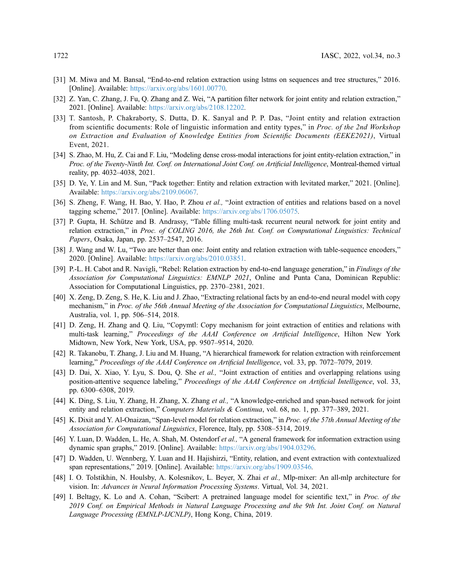- <span id="page-15-0"></span>[31] M. Miwa and M. Bansal, "End-to-end relation extraction using lstms on sequences and tree structures," 2016. [Online]. Available: <https://arxiv.org/abs/1601.00770>.
- <span id="page-15-17"></span>[32] Z. Yan, C. Zhang, J. Fu, Q. Zhang and Z. Wei, "A partition filter network for joint entity and relation extraction," 2021. [Online]. Available: <https://arxiv.org/abs/2108.12202>.
- <span id="page-15-16"></span>[33] T. Santosh, P. Chakraborty, S. Dutta, D. K. Sanyal and P. P. Das, "Joint entity and relation extraction from scientific documents: Role of linguistic information and entity types," in Proc. of the 2nd Workshop on Extraction and Evaluation of Knowledge Entities from Scientific Documents (EEKE2021), Virtual Event, 2021.
- <span id="page-15-18"></span>[34] S. Zhao, M. Hu, Z. Cai and F. Liu, "Modeling dense cross-modal interactions for joint entity-relation extraction," in Proc. of the Twenty-Ninth Int. Conf. on International Joint Conf. on Artificial Intelligence, Montreal-themed virtual reality, pp. 4032–4038, 2021.
- <span id="page-15-1"></span>[35] D. Ye, Y. Lin and M. Sun, "Pack together: Entity and relation extraction with levitated marker," 2021. [Online]. Available: <https://arxiv.org/abs/2109.06067>.
- <span id="page-15-2"></span>[36] S. Zheng, F. Wang, H. Bao, Y. Hao, P. Zhou *et al.*, "Joint extraction of entities and relations based on a novel tagging scheme," 2017. [Online]. Available: <https://arxiv.org/abs/1706.05075>.
- <span id="page-15-3"></span>[37] P. Gupta, H. Schütze and B. Andrassy, "Table filling multi-task recurrent neural network for joint entity and relation extraction," in Proc. of COLING 2016, the 26th Int. Conf. on Computational Linguistics: Technical Papers, Osaka, Japan, pp. 2537–2547, 2016.
- <span id="page-15-4"></span>[38] J. Wang and W. Lu, "Two are better than one: Joint entity and relation extraction with table-sequence encoders," 2020. [Online]. Available: <https://arxiv.org/abs/2010.03851>.
- <span id="page-15-5"></span>[39] P.-L. H. Cabot and R. Navigli, "Rebel: Relation extraction by end-to-end language generation," in Findings of the Association for Computational Linguistics: EMNLP 2021, Online and Punta Cana, Dominican Republic: Association for Computational Linguistics, pp. 2370–2381, 2021.
- <span id="page-15-6"></span>[40] X. Zeng, D. Zeng, S. He, K. Liu and J. Zhao, "Extracting relational facts by an end-to-end neural model with copy mechanism," in Proc. of the 56th Annual Meeting of the Association for Computational Linguistics, Melbourne, Australia, vol. 1, pp. 506–514, 2018.
- <span id="page-15-7"></span>[41] D. Zeng, H. Zhang and Q. Liu, "Copymtl: Copy mechanism for joint extraction of entities and relations with multi-task learning," Proceedings of the AAAI Conference on Artificial Intelligence, Hilton New York Midtown, New York, New York, USA, pp. 9507–9514, 2020.
- <span id="page-15-8"></span>[42] R. Takanobu, T. Zhang, J. Liu and M. Huang, "A hierarchical framework for relation extraction with reinforcement learning," Proceedings of the AAAI Conference on Artificial Intelligence, vol. 33, pp. 7072–7079, 2019.
- <span id="page-15-9"></span>[43] D. Dai, X. Xiao, Y. Lyu, S. Dou, Q. She et al., "Joint extraction of entities and overlapping relations using position-attentive sequence labeling," Proceedings of the AAAI Conference on Artificial Intelligence, vol. 33, pp. 6300–6308, 2019.
- <span id="page-15-10"></span>[44] K. Ding, S. Liu, Y. Zhang, H. Zhang, X. Zhang et al., "A knowledge-enriched and span-based network for joint entity and relation extraction," Computers Materials & Continua, vol. 68, no. 1, pp. 377–389, 2021.
- <span id="page-15-11"></span>[45] K. Dixit and Y. Al-Onaizan, "Span-level model for relation extraction," in Proc. of the 57th Annual Meeting of the Association for Computational Linguistics, Florence, Italy, pp. 5308–5314, 2019.
- <span id="page-15-12"></span>[46] Y. Luan, D. Wadden, L. He, A. Shah, M. Ostendorf et al., "A general framework for information extraction using dynamic span graphs," 2019. [Online]. Available: <https://arxiv.org/abs/1904.03296>.
- <span id="page-15-13"></span>[47] D. Wadden, U. Wennberg, Y. Luan and H. Hajishirzi, "Entity, relation, and event extraction with contextualized span representations," 2019. [Online]. Available: <https://arxiv.org/abs/1909.03546>.
- <span id="page-15-14"></span>[48] I. O. Tolstikhin, N. Houlsby, A. Kolesnikov, L. Beyer, X. Zhai et al., Mlp-mixer: An all-mlp architecture for vision. In: Advances in Neural Information Processing Systems. Virtual, Vol. 34, 2021.
- <span id="page-15-15"></span>[49] I. Beltagy, K. Lo and A. Cohan, "Scibert: A pretrained language model for scientific text," in Proc. of the 2019 Conf. on Empirical Methods in Natural Language Processing and the 9th Int. Joint Conf. on Natural Language Processing (EMNLP-IJCNLP), Hong Kong, China, 2019.